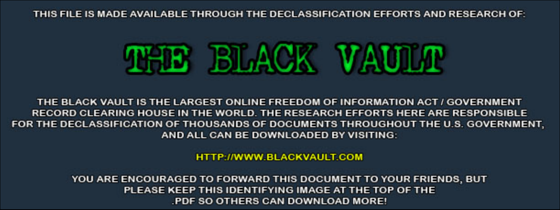THIS FILE IS MADE AVAILABLE THROUGH THE DECLASSIFICATION EFFORTS AND RESEARCH OF:



THE BLACK VAULT IS THE LARGEST ONLINE FREEDOM OF INFORMATION ACT / GOVERNMENT RECORD CLEARING HOUSE IN THE WORLD. THE RESEARCH EFFORTS HERE ARE RESPONSIBLE FOR THE DECLASSIFICATION OF THOUSANDS OF DOCUMENTS THROUGHOUT THE U.S. GOVERNMENT, AND ALL CAN BE DOWNLOADED BY VISITING:

**HTTP://WWW.BLACKVAULT.COM** 

YOU ARE ENCOURAGED TO FORWARD THIS DOCUMENT TO YOUR FRIENDS, BUT PLEASE KEEP THIS IDENTIFYING IMAGE AT THE TOP OF THE PDF SO OTHERS CAN DOWNLOAD MORE!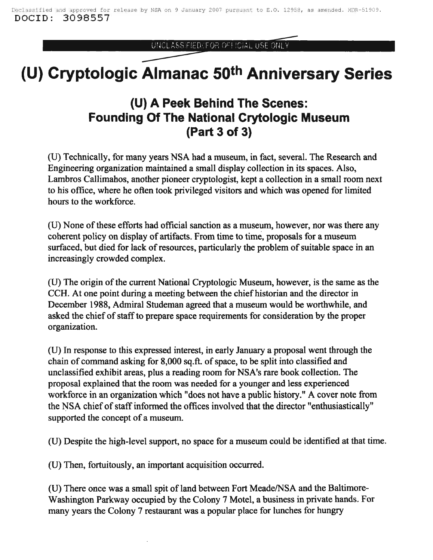UNCLASSIFIED/FOR OFFICIAL USE ONLY

## **(U) Cryptologic Almanac 50th Anniversary Series**

## **(U) A Peek Behind The Scenes: Founding Of The National Crytologic Museum (Part 3 of 3)**

(U) Technically, for many years NSA had a museum, in fact, several. The Research and Engineering organization maintained a small display collection in its spaces. Also, Lambros Callimahos, another pioneer cryptologist, kept a collection in a small room next to his office, where he often took privileged visitors and which was opened for limited hours to the workforce.

(U) None of these efforts had official sanction as a museum, however, nor was there any coherent policy on display of artifacts. From time to time, proposals for a museum surfaced, but died for lack of resources, particularly the problem of suitable space in an increasingly crowded complex.

(U) The origin of the current National Cryptologic Museum, however, is the same as the CCH. At one point during a meeting between the chief historian and the director in December 1988, Admiral Studeman agreed that a museum would be worthwhile, and asked the chief of staff to prepare space requirements for consideration by the proper organization.

(U) In response to this expressed interest, in early January a proposal went through the chain of command asking for 8,000 sq.ft. of space, to be split into classified and unclassified exhibit areas, plus a reading room for NSA's rare book collection. The proposal explained that the room was needed for a younger and less experienced workforce in an organization which "does not have a public history." A cover note from the NSA chief of staff informed the offices involved that the director "enthusiastically" supported the concept of a museum.

(U) Despite the high-level support, no space for a museum could be identified at that time.

(U) Then, fortuitously, an important acquisition occurred.

(U) There once was a small spit of land between Fort Meade/NSA and the Baltimore-Washington Parkway occupied by the Colony 7 Motel, a business in private hands. For many years the Colony 7 restaurant was a popular place for lunches for hungry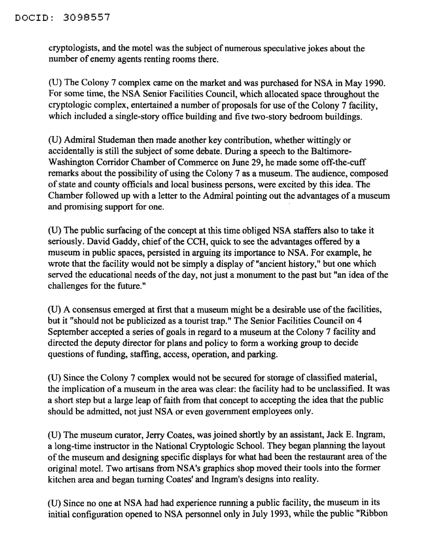## DOCID: 3098557

cryptologists, and the motel was the subject of numerous speculative jokes about the number of enemy agents renting rooms there.

(U) The Colony 7 complex came on the market and was purchased for NSA in May 1990. For some time, the NSA Senior Facilities Council, which allocated space throughout the cryptologic complex, entertained a number of proposals for use of the Colony 7 facility, which included a single-story office building and five two-story bedroom buildings.

(U) Admiral Studeman then made another key contribution, whether wittingly or accidentally is still the subject of some debate. During a speech to the Baltimore-Washington Corridor Chamber of Commerce on June 29, he made some off-the-cuff remarks about the possibility of using the Colony 7 as a museum. The audience, composed of state and county officials and local business persons, were excited by this idea. The Chamber followed up with a letter to the Admiral pointing out the advantages of a museum and promising support for one.

(U) The public surfacing of the concept at this time obliged NSA staffers also to take it seriously. David Gaddy, chief of the CCH, quick to see the advantages offered by a museum in public spaces, persisted in arguing its importance to NSA. For example, he wrote that the facility would not be simply a display of "ancient history," but one which served the educational needs of the day, not just a monument to the past but "an idea of the challenges for the future."

(U) A consensus emerged at first that a museum might be a desirable use ofthe facilities, but it "should not be publicized as a tourist trap." The Senior Facilities Council on 4 September accepted a series of goals in regard to a museum at the Colony 7 facility and directed the deputy director for plans and policy to form a working group to decide questions of funding, staffing, access, operation, and parking.

(U) Since the Colony 7 complex would not be secured for storage of classified material, the implication of a museum in the area was clear: the facility had to be unclassified. It was a short step but a large leap of faith from that concept to accepting the idea that the public should be admitted, not just NSA or even government employees only.

(U) The museum curator, Jerry Coates, was joined shortly by an assistant, Jack E. Ingram, a long-time instructor in the National Cryptologic School. They began planning the layout of the museum and designing specific displays for what had been the restaurant area of the original motel. Two artisans from NSA's graphics shop moved their tools into the former kitchen area and began turning Coates' and Ingram's designs into reality.

(U) Since no one at NSA had had experience running a public facility, the museum in its initial configuration opened to NSA personnel only in July 1993, while the public "Ribbon